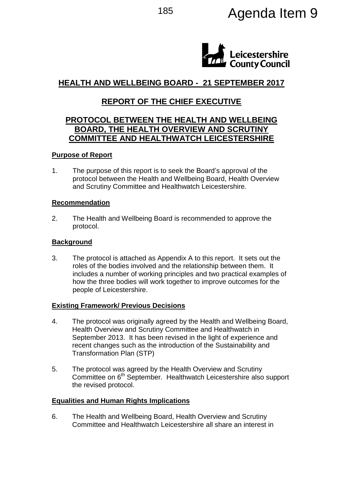

# **HEALTH AND WELLBEING BOARD - 21 SEPTEMBER 2017**

# **REPORT OF THE CHIEF EXECUTIVE**

# **PROTOCOL BETWEEN THE HEALTH AND WELLBEING BOARD, THE HEALTH OVERVIEW AND SCRUTINY COMMITTEE AND HEALTHWATCH LEICESTERSHIRE**

## **Purpose of Report**

1. The purpose of this report is to seek the Board's approval of the protocol between the Health and Wellbeing Board, Health Overview and Scrutiny Committee and Healthwatch Leicestershire.

#### **Recommendation**

2. The Health and Wellbeing Board is recommended to approve the protocol.

## **Background**

3. The protocol is attached as Appendix A to this report. It sets out the roles of the bodies involved and the relationship between them. It includes a number of working principles and two practical examples of how the three bodies will work together to improve outcomes for the people of Leicestershire.

#### **Existing Framework/ Previous Decisions**

- 4. The protocol was originally agreed by the Health and Wellbeing Board, Health Overview and Scrutiny Committee and Healthwatch in September 2013. It has been revised in the light of experience and recent changes such as the introduction of the Sustainability and Transformation Plan (STP)
- 5. The protocol was agreed by the Health Overview and Scrutiny Committee on 6<sup>th</sup> September. Healthwatch Leicestershire also support the revised protocol.

# **Equalities and Human Rights Implications**

6. The Health and Wellbeing Board, Health Overview and Scrutiny Committee and Healthwatch Leicestershire all share an interest in